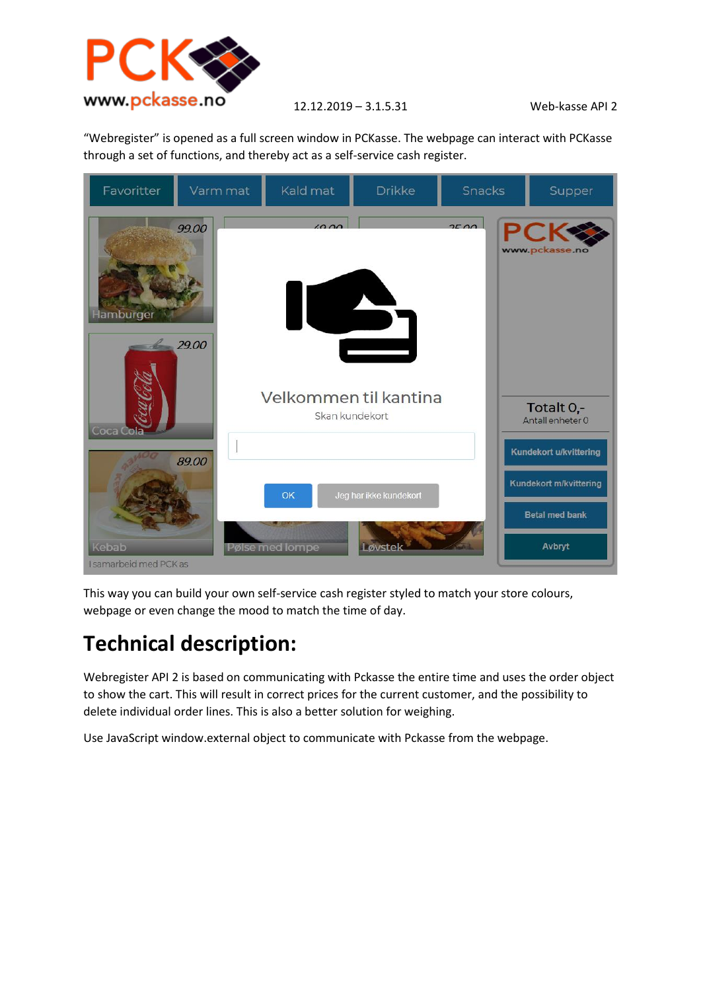

12.12.2019 – 3.1.5.31 Web-kasse API 2

"Webregister" is opened as a full screen window in PCKasse. The webpage can interact with PCKasse through a set of functions, and thereby act as a self-service cash register.



This way you can build your own self-service cash register styled to match your store colours, webpage or even change the mood to match the time of day.

## **Technical description:**

Webregister API 2 is based on communicating with Pckasse the entire time and uses the order object to show the cart. This will result in correct prices for the current customer, and the possibility to delete individual order lines. This is also a better solution for weighing.

Use JavaScript window.external object to communicate with Pckasse from the webpage.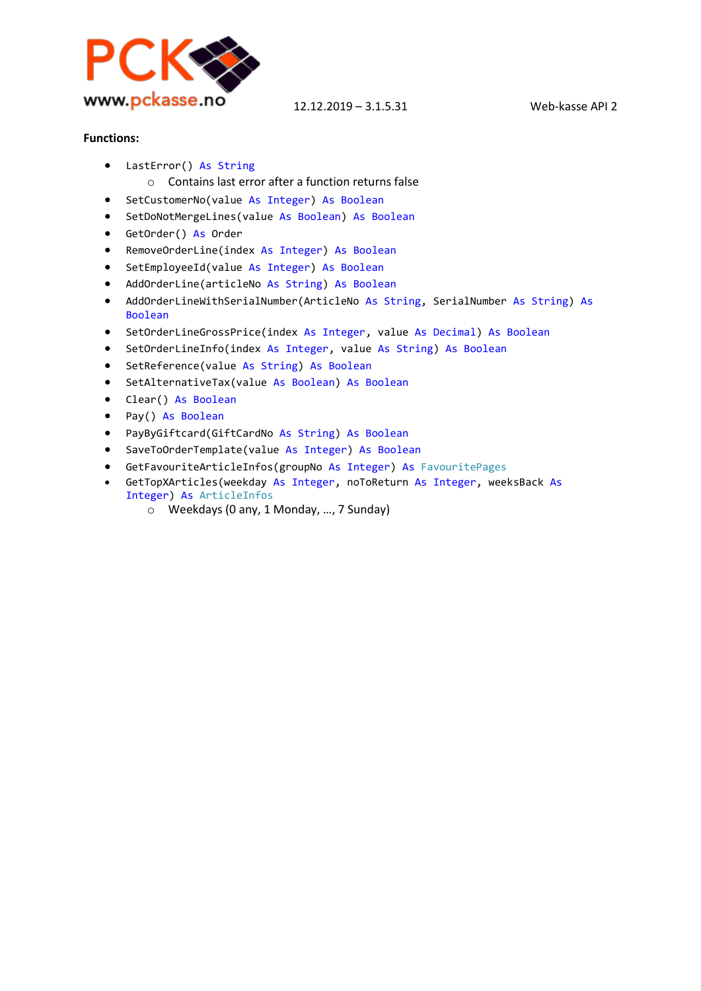

12.12.2019 – 3.1.5.31 Web-kasse API 2

## **Functions:**

- LastError() As String
- o Contains last error after a function returns false
- SetCustomerNo(value As Integer) As Boolean
- SetDoNotMergeLines(value As Boolean) As Boolean
- GetOrder() As Order
- RemoveOrderLine(index As Integer) As Boolean
- SetEmployeeId(value As Integer) As Boolean
- AddOrderLine(articleNo As String) As Boolean
- AddOrderLineWithSerialNumber(ArticleNo As String, SerialNumber As String) As Boolean
- SetOrderLineGrossPrice(index As Integer, value As Decimal) As Boolean
- SetOrderLineInfo(index As Integer, value As String) As Boolean
- SetReference(value As String) As Boolean
- SetAlternativeTax(value As Boolean) As Boolean
- Clear() As Boolean
- Pay() As Boolean
- PayByGiftcard(GiftCardNo As String) As Boolean
- SaveToOrderTemplate(value As Integer) As Boolean
- GetFavouriteArticleInfos(groupNo As Integer) As FavouritePages
- GetTopXArticles(weekday As Integer, noToReturn As Integer, weeksBack As Integer) As ArticleInfos
	- o Weekdays (0 any, 1 Monday, …, 7 Sunday)